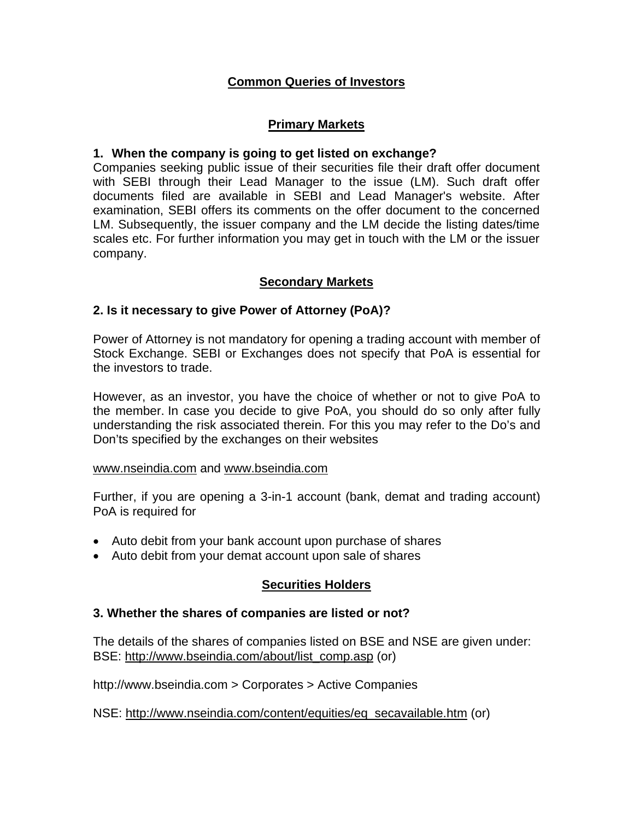### **Common Queries of Investors**

### **Primary Markets**

#### **1. When the company is going to get listed on exchange?**

Companies seeking public issue of their securities file their draft offer document with SEBI through their Lead Manager to the issue (LM). Such draft offer documents filed are available in SEBI and Lead Manager's website. After examination, SEBI offers its comments on the offer document to the concerned LM. Subsequently, the issuer company and the LM decide the listing dates/time scales etc. For further information you may get in touch with the LM or the issuer company.

### **Secondary Markets**

#### **2. Is it necessary to give Power of Attorney (PoA)?**

Power of Attorney is not mandatory for opening a trading account with member of Stock Exchange. SEBI or Exchanges does not specify that PoA is essential for the investors to trade.

However, as an investor, you have the choice of whether or not to give PoA to the member. In case you decide to give PoA, you should do so only after fully understanding the risk associated therein. For this you may refer to the Do's and Don'ts specified by the exchanges on their websites

#### www.nseindia.com and www.bseindia.com

Further, if you are opening a 3-in-1 account (bank, demat and trading account) PoA is required for

- Auto debit from your bank account upon purchase of shares
- Auto debit from your demat account upon sale of shares

#### **Securities Holders**

#### **3. Whether the shares of companies are listed or not?**

The details of the shares of companies listed on BSE and NSE are given under: BSE: http://www.bseindia.com/about/list\_comp.asp (or)

http://www.bseindia.com > Corporates > Active Companies

NSE: http://www.nseindia.com/content/equities/eq\_secavailable.htm (or)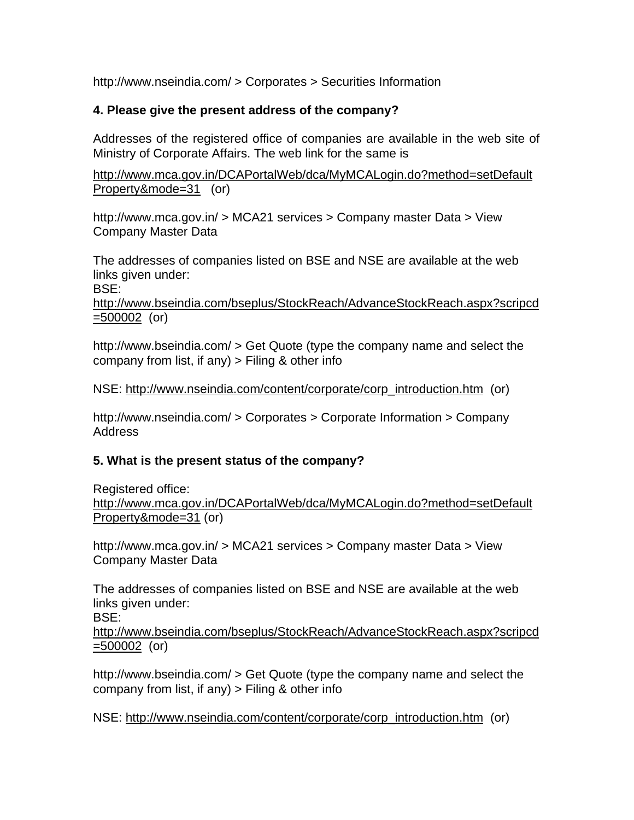http://www.nseindia.com/ > Corporates > Securities Information

# **4. Please give the present address of the company?**

Addresses of the registered office of companies are available in the web site of Ministry of Corporate Affairs. The web link for the same is

http://www.mca.gov.in/DCAPortalWeb/dca/MyMCALogin.do?method=setDefault Property&mode=31 (or)

http://www.mca.gov.in/ > MCA21 services > Company master Data > View Company Master Data

The addresses of companies listed on BSE and NSE are available at the web links given under:

BSE:

http://www.bseindia.com/bseplus/StockReach/AdvanceStockReach.aspx?scripcd =500002 (or)

http://www.bseindia.com/ > Get Quote (type the company name and select the company from list, if any)  $>$  Filing & other info

NSE: http://www.nseindia.com/content/corporate/corp\_introduction.htm (or)

http://www.nseindia.com/ > Corporates > Corporate Information > Company Address

# **5. What is the present status of the company?**

Registered office: http://www.mca.gov.in/DCAPortalWeb/dca/MyMCALogin.do?method=setDefault Property&mode=31 (or)

http://www.mca.gov.in/ > MCA21 services > Company master Data > View Company Master Data

The addresses of companies listed on BSE and NSE are available at the web links given under: BSE:

http://www.bseindia.com/bseplus/StockReach/AdvanceStockReach.aspx?scripcd =500002 (or)

http://www.bseindia.com/ > Get Quote (type the company name and select the company from list, if any)  $>$  Filing & other info

NSE: http://www.nseindia.com/content/corporate/corp\_introduction.htm (or)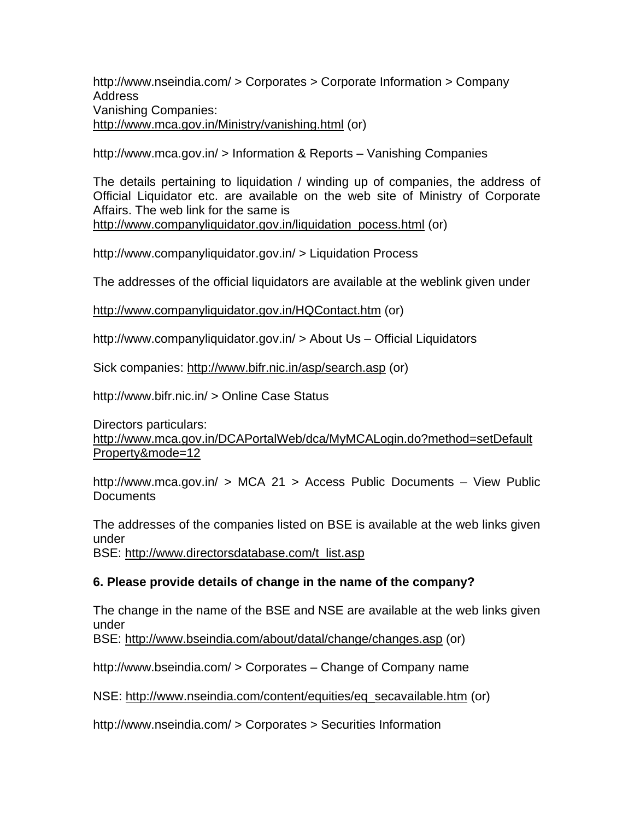http://www.nseindia.com/ > Corporates > Corporate Information > Company Address Vanishing Companies: http://www.mca.gov.in/Ministry/vanishing.html (or)

http://www.mca.gov.in/ > Information & Reports – Vanishing Companies

The details pertaining to liquidation / winding up of companies, the address of Official Liquidator etc. are available on the web site of Ministry of Corporate Affairs. The web link for the same is http://www.companyliquidator.gov.in/liquidation\_pocess.html (or)

http://www.companyliquidator.gov.in/ > Liquidation Process

The addresses of the official liquidators are available at the weblink given under

http://www.companyliquidator.gov.in/HQContact.htm (or)

http://www.companyliquidator.gov.in/ > About Us – Official Liquidators

Sick companies: http://www.bifr.nic.in/asp/search.asp (or)

http://www.bifr.nic.in/ > Online Case Status

Directors particulars: http://www.mca.gov.in/DCAPortalWeb/dca/MyMCALogin.do?method=setDefault Property&mode=12

http://www.mca.gov.in/ > MCA 21 > Access Public Documents – View Public **Documents** 

The addresses of the companies listed on BSE is available at the web links given under

BSE: http://www.directorsdatabase.com/t\_list.asp

#### **6. Please provide details of change in the name of the company?**

The change in the name of the BSE and NSE are available at the web links given under

BSE: http://www.bseindia.com/about/datal/change/changes.asp (or)

http://www.bseindia.com/ > Corporates – Change of Company name

NSE: http://www.nseindia.com/content/equities/eq\_secavailable.htm (or)

http://www.nseindia.com/ > Corporates > Securities Information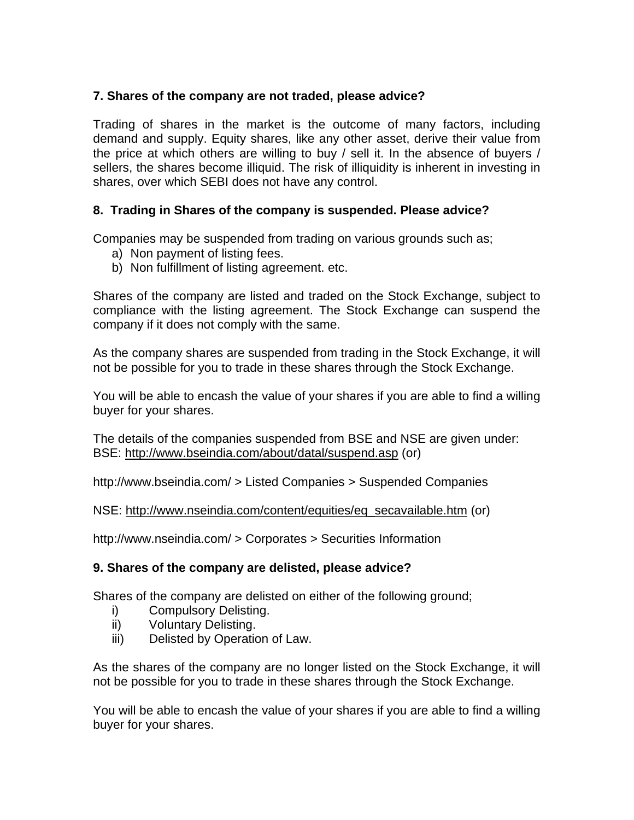## **7. Shares of the company are not traded, please advice?**

Trading of shares in the market is the outcome of many factors, including demand and supply. Equity shares, like any other asset, derive their value from the price at which others are willing to buy / sell it. In the absence of buyers / sellers, the shares become illiquid. The risk of illiquidity is inherent in investing in shares, over which SEBI does not have any control.

### **8. Trading in Shares of the company is suspended. Please advice?**

Companies may be suspended from trading on various grounds such as;

- a) Non payment of listing fees.
- b) Non fulfillment of listing agreement. etc.

Shares of the company are listed and traded on the Stock Exchange, subject to compliance with the listing agreement. The Stock Exchange can suspend the company if it does not comply with the same.

As the company shares are suspended from trading in the Stock Exchange, it will not be possible for you to trade in these shares through the Stock Exchange.

You will be able to encash the value of your shares if you are able to find a willing buyer for your shares.

The details of the companies suspended from BSE and NSE are given under: BSE: http://www.bseindia.com/about/datal/suspend.asp (or)

http://www.bseindia.com/ > Listed Companies > Suspended Companies

NSE: http://www.nseindia.com/content/equities/eq\_secavailable.htm (or)

http://www.nseindia.com/ > Corporates > Securities Information

## **9. Shares of the company are delisted, please advice?**

Shares of the company are delisted on either of the following ground;

- i) Compulsory Delisting.
- ii) Voluntary Delisting.
- iii) Delisted by Operation of Law.

As the shares of the company are no longer listed on the Stock Exchange, it will not be possible for you to trade in these shares through the Stock Exchange.

You will be able to encash the value of your shares if you are able to find a willing buyer for your shares.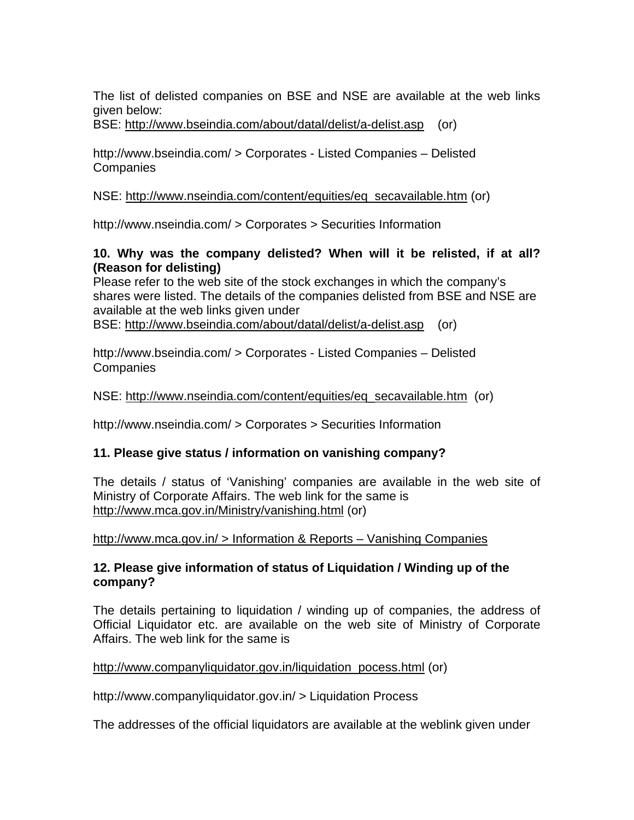The list of delisted companies on BSE and NSE are available at the web links given below:

BSE: http://www.bseindia.com/about/datal/delist/a-delist.asp (or)

http://www.bseindia.com/ > Corporates - Listed Companies – Delisted **Companies** 

#### NSE: http://www.nseindia.com/content/equities/eq\_secavailable.htm (or)

http://www.nseindia.com/ > Corporates > Securities Information

#### **10. Why was the company delisted? When will it be relisted, if at all? (Reason for delisting)**

Please refer to the web site of the stock exchanges in which the company's shares were listed. The details of the companies delisted from BSE and NSE are available at the web links given under BSE: http://www.bseindia.com/about/datal/delist/a-delist.asp (or)

http://www.bseindia.com/ > Corporates - Listed Companies – Delisted

**Companies** 

NSE: http://www.nseindia.com/content/equities/eq\_secavailable.htm (or)

http://www.nseindia.com/ > Corporates > Securities Information

## **11. Please give status / information on vanishing company?**

The details / status of 'Vanishing' companies are available in the web site of Ministry of Corporate Affairs. The web link for the same is http://www.mca.gov.in/Ministry/vanishing.html (or)

http://www.mca.gov.in/ > Information & Reports – Vanishing Companies

### **12. Please give information of status of Liquidation / Winding up of the company?**

The details pertaining to liquidation / winding up of companies, the address of Official Liquidator etc. are available on the web site of Ministry of Corporate Affairs. The web link for the same is

#### http://www.companyliquidator.gov.in/liquidation\_pocess.html (or)

http://www.companyliquidator.gov.in/ > Liquidation Process

The addresses of the official liquidators are available at the weblink given under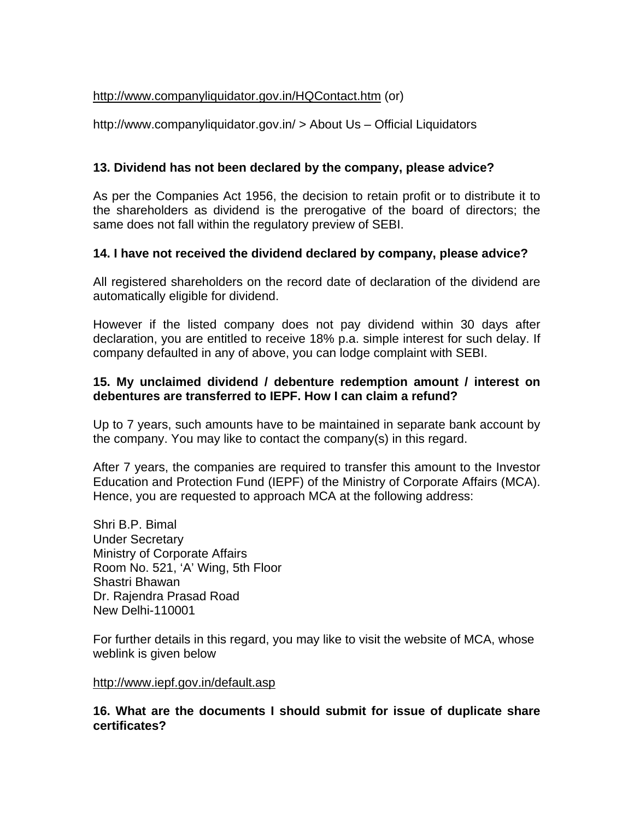### http://www.companyliquidator.gov.in/HQContact.htm (or)

http://www.companyliquidator.gov.in/ > About Us – Official Liquidators

### **13. Dividend has not been declared by the company, please advice?**

As per the Companies Act 1956, the decision to retain profit or to distribute it to the shareholders as dividend is the prerogative of the board of directors; the same does not fall within the regulatory preview of SEBI.

#### **14. I have not received the dividend declared by company, please advice?**

All registered shareholders on the record date of declaration of the dividend are automatically eligible for dividend.

However if the listed company does not pay dividend within 30 days after declaration, you are entitled to receive 18% p.a. simple interest for such delay. If company defaulted in any of above, you can lodge complaint with SEBI.

### **15. My unclaimed dividend / debenture redemption amount / interest on debentures are transferred to IEPF. How I can claim a refund?**

Up to 7 years, such amounts have to be maintained in separate bank account by the company. You may like to contact the company(s) in this regard.

After 7 years, the companies are required to transfer this amount to the Investor Education and Protection Fund (IEPF) of the Ministry of Corporate Affairs (MCA). Hence, you are requested to approach MCA at the following address:

Shri B.P. Bimal Under Secretary Ministry of Corporate Affairs Room No. 521, 'A' Wing, 5th Floor Shastri Bhawan Dr. Rajendra Prasad Road New Delhi-110001

For further details in this regard, you may like to visit the website of MCA, whose weblink is given below

#### http://www.iepf.gov.in/default.asp

**16. What are the documents I should submit for issue of duplicate share certificates?**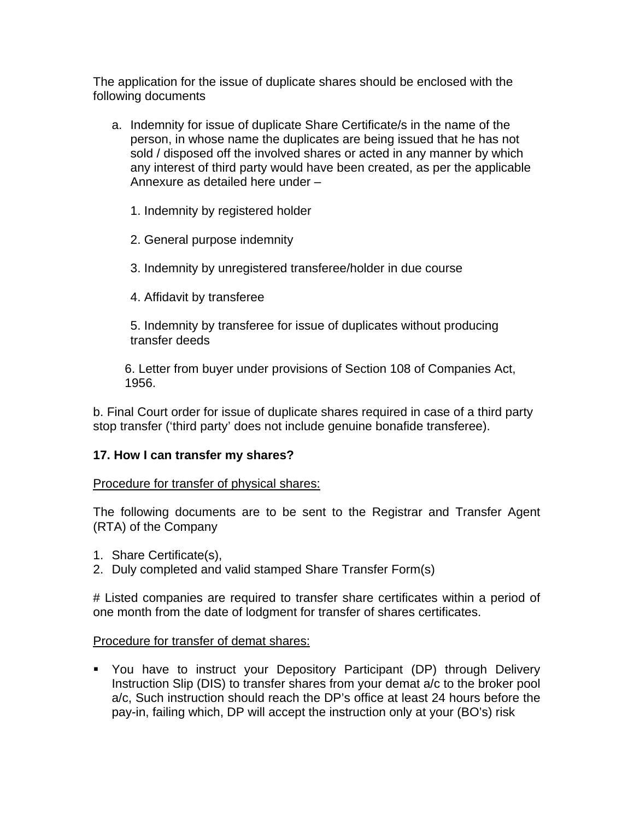The application for the issue of duplicate shares should be enclosed with the following documents

- a. Indemnity for issue of duplicate Share Certificate/s in the name of the person, in whose name the duplicates are being issued that he has not sold / disposed off the involved shares or acted in any manner by which any interest of third party would have been created, as per the applicable Annexure as detailed here under –
	- 1. Indemnity by registered holder
	- 2. General purpose indemnity
	- 3. Indemnity by unregistered transferee/holder in due course
	- 4. Affidavit by transferee

5. Indemnity by transferee for issue of duplicates without producing transfer deeds

6. Letter from buyer under provisions of Section 108 of Companies Act, 1956.

b. Final Court order for issue of duplicate shares required in case of a third party stop transfer ('third party' does not include genuine bonafide transferee).

## **17. How I can transfer my shares?**

#### Procedure for transfer of physical shares:

The following documents are to be sent to the Registrar and Transfer Agent (RTA) of the Company

- 1. Share Certificate(s),
- 2. Duly completed and valid stamped Share Transfer Form(s)

# Listed companies are required to transfer share certificates within a period of one month from the date of lodgment for transfer of shares certificates.

#### Procedure for transfer of demat shares:

 You have to instruct your Depository Participant (DP) through Delivery Instruction Slip (DIS) to transfer shares from your demat a/c to the broker pool a/c, Such instruction should reach the DP's office at least 24 hours before the pay-in, failing which, DP will accept the instruction only at your (BO's) risk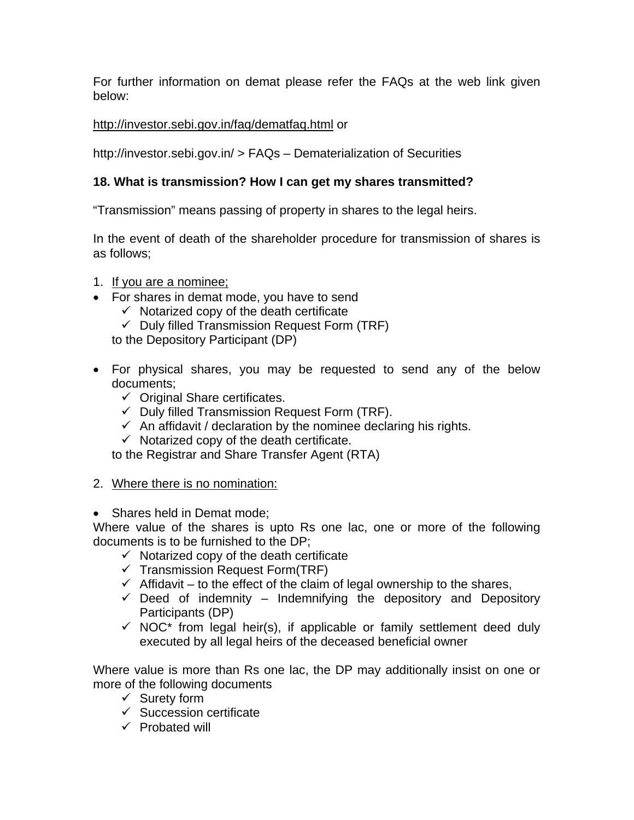For further information on demat please refer the FAQs at the web link given below:

## http://investor.sebi.gov.in/faq/dematfaq.html or

http://investor.sebi.gov.in/ > FAQs – Dematerialization of Securities

# **18. What is transmission? How I can get my shares transmitted?**

"Transmission" means passing of property in shares to the legal heirs.

In the event of death of the shareholder procedure for transmission of shares is as follows;

- 1. If you are a nominee;
- For shares in demat mode, you have to send
	- $\checkmark$  Notarized copy of the death certificate
	- $\checkmark$  Duly filled Transmission Request Form (TRF)

to the Depository Participant (DP)

- For physical shares, you may be requested to send any of the below documents;
	- $\checkmark$  Original Share certificates.
	- $\checkmark$  Duly filled Transmission Request Form (TRF).
	- $\checkmark$  An affidavit / declaration by the nominee declaring his rights.
	- $\checkmark$  Notarized copy of the death certificate.

to the Registrar and Share Transfer Agent (RTA)

- 2. Where there is no nomination:
- Shares held in Demat mode;

Where value of the shares is upto Rs one lac, one or more of the following documents is to be furnished to the DP;

- $\checkmark$  Notarized copy of the death certificate
- $\checkmark$  Transmission Request Form(TRF)
- $\checkmark$  Affidavit to the effect of the claim of legal ownership to the shares,
- $\checkmark$  Deed of indemnity Indemnifying the depository and Depository Participants (DP)
- $\checkmark$  NOC\* from legal heir(s), if applicable or family settlement deed duly executed by all legal heirs of the deceased beneficial owner

Where value is more than Rs one lac, the DP may additionally insist on one or more of the following documents

- $\checkmark$  Surety form
- $\checkmark$  Succession certificate
- $\checkmark$  Probated will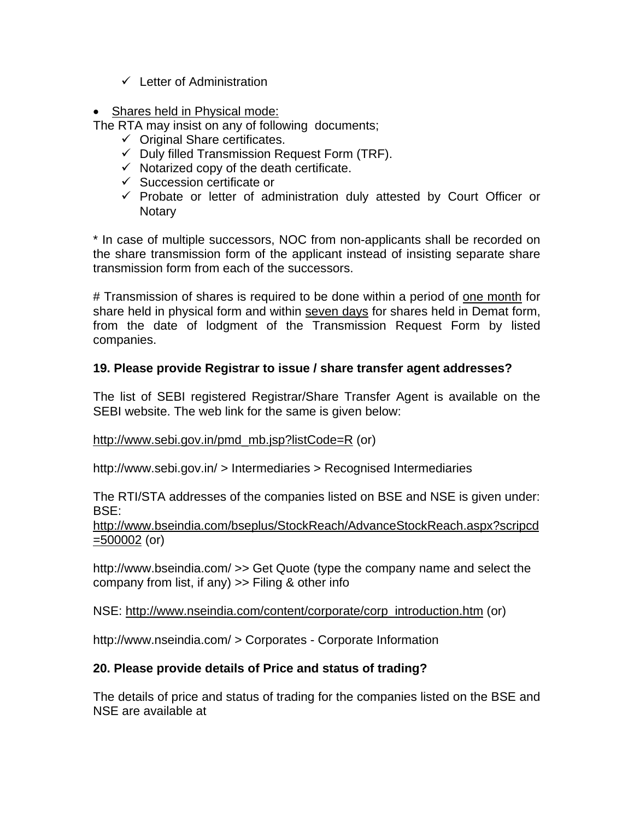- $\checkmark$  Letter of Administration
- Shares held in Physical mode:

The RTA may insist on any of following documents;

- $\checkmark$  Original Share certificates.
- $\checkmark$  Duly filled Transmission Request Form (TRF).
- $\checkmark$  Notarized copy of the death certificate.
- $\checkmark$  Succession certificate or
- $\checkmark$  Probate or letter of administration duly attested by Court Officer or **Notary**

\* In case of multiple successors, NOC from non-applicants shall be recorded on the share transmission form of the applicant instead of insisting separate share transmission form from each of the successors.

# Transmission of shares is required to be done within a period of one month for share held in physical form and within seven days for shares held in Demat form, from the date of lodgment of the Transmission Request Form by listed companies.

## **19. Please provide Registrar to issue / share transfer agent addresses?**

The list of SEBI registered Registrar/Share Transfer Agent is available on the SEBI website. The web link for the same is given below:

#### http://www.sebi.gov.in/pmd\_mb.jsp?listCode=R (or)

http://www.sebi.gov.in/ > Intermediaries > Recognised Intermediaries

The RTI/STA addresses of the companies listed on BSE and NSE is given under: BSE:

http://www.bseindia.com/bseplus/StockReach/AdvanceStockReach.aspx?scripcd  $=500002$  (or)

http://www.bseindia.com/ >> Get Quote (type the company name and select the company from list, if any) >> Filing & other info

NSE: http://www.nseindia.com/content/corporate/corp\_introduction.htm (or)

http://www.nseindia.com/ > Corporates - Corporate Information

## **20. Please provide details of Price and status of trading?**

The details of price and status of trading for the companies listed on the BSE and NSE are available at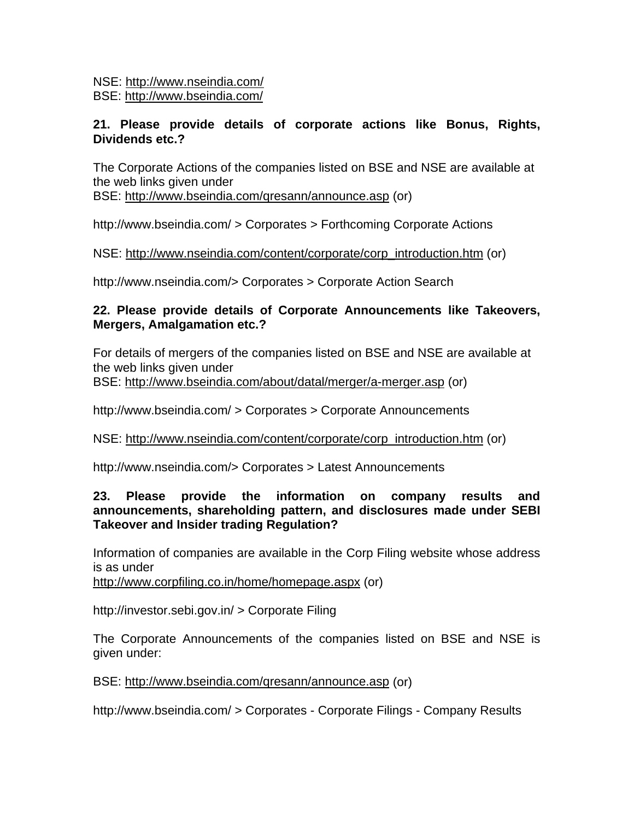NSE: http://www.nseindia.com/ BSE: http://www.bseindia.com/

### **21. Please provide details of corporate actions like Bonus, Rights, Dividends etc.?**

The Corporate Actions of the companies listed on BSE and NSE are available at the web links given under

BSE: http://www.bseindia.com/qresann/announce.asp (or)

http://www.bseindia.com/ > Corporates > Forthcoming Corporate Actions

### NSE: http://www.nseindia.com/content/corporate/corp\_introduction.htm (or)

http://www.nseindia.com/> Corporates > Corporate Action Search

### **22. Please provide details of Corporate Announcements like Takeovers, Mergers, Amalgamation etc.?**

For details of mergers of the companies listed on BSE and NSE are available at the web links given under BSE: http://www.bseindia.com/about/datal/merger/a-merger.asp (or)

http://www.bseindia.com/ > Corporates > Corporate Announcements

#### NSE: http://www.nseindia.com/content/corporate/corp\_introduction.htm (or)

http://www.nseindia.com/> Corporates > Latest Announcements

#### **23. Please provide the information on company results and announcements, shareholding pattern, and disclosures made under SEBI Takeover and Insider trading Regulation?**

Information of companies are available in the Corp Filing website whose address is as under

http://www.corpfiling.co.in/home/homepage.aspx (or)

http://investor.sebi.gov.in/ > Corporate Filing

The Corporate Announcements of the companies listed on BSE and NSE is given under:

BSE: http://www.bseindia.com/qresann/announce.asp (or)

http://www.bseindia.com/ > Corporates - Corporate Filings - Company Results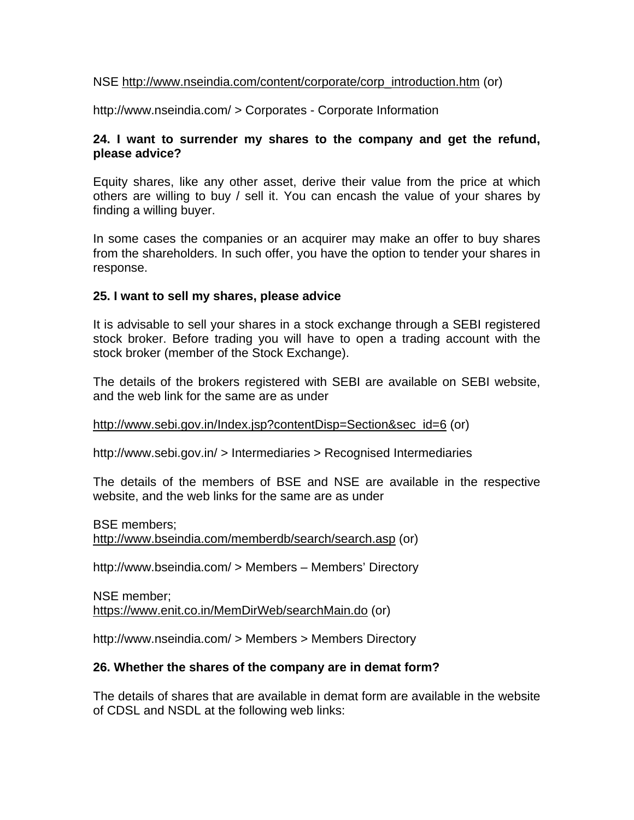#### NSE http://www.nseindia.com/content/corporate/corp\_introduction.htm (or)

http://www.nseindia.com/ > Corporates - Corporate Information

#### **24. I want to surrender my shares to the company and get the refund, please advice?**

Equity shares, like any other asset, derive their value from the price at which others are willing to buy / sell it. You can encash the value of your shares by finding a willing buyer.

In some cases the companies or an acquirer may make an offer to buy shares from the shareholders. In such offer, you have the option to tender your shares in response.

#### **25. I want to sell my shares, please advice**

It is advisable to sell your shares in a stock exchange through a SEBI registered stock broker. Before trading you will have to open a trading account with the stock broker (member of the Stock Exchange).

The details of the brokers registered with SEBI are available on SEBI website, and the web link for the same are as under

http://www.sebi.gov.in/Index.jsp?contentDisp=Section&sec\_id=6 (or)

http://www.sebi.gov.in/ > Intermediaries > Recognised Intermediaries

The details of the members of BSE and NSE are available in the respective website, and the web links for the same are as under

BSE members; http://www.bseindia.com/memberdb/search/search.asp (or)

http://www.bseindia.com/ > Members – Members' Directory

NSE member; https://www.enit.co.in/MemDirWeb/searchMain.do (or)

http://www.nseindia.com/ > Members > Members Directory

#### **26. Whether the shares of the company are in demat form?**

The details of shares that are available in demat form are available in the website of CDSL and NSDL at the following web links: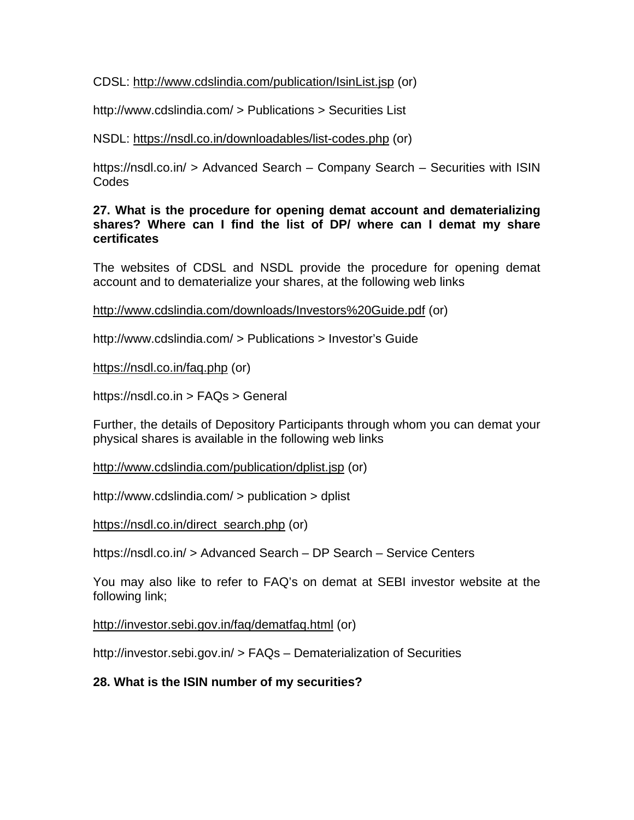CDSL: http://www.cdslindia.com/publication/IsinList.jsp (or)

http://www.cdslindia.com/ > Publications > Securities List

NSDL: https://nsdl.co.in/downloadables/list-codes.php (or)

https://nsdl.co.in/ > Advanced Search – Company Search – Securities with ISIN Codes

**27. What is the procedure for opening demat account and dematerializing shares? Where can I find the list of DP/ where can I demat my share certificates** 

The websites of CDSL and NSDL provide the procedure for opening demat account and to dematerialize your shares, at the following web links

http://www.cdslindia.com/downloads/Investors%20Guide.pdf (or)

http://www.cdslindia.com/ > Publications > Investor's Guide

https://nsdl.co.in/faq.php (or)

https://nsdl.co.in > FAQs > General

Further, the details of Depository Participants through whom you can demat your physical shares is available in the following web links

http://www.cdslindia.com/publication/dplist.jsp (or)

http://www.cdslindia.com/ > publication > dplist

https://nsdl.co.in/direct\_search.php (or)

https://nsdl.co.in/ > Advanced Search – DP Search – Service Centers

You may also like to refer to FAQ's on demat at SEBI investor website at the following link;

http://investor.sebi.gov.in/faq/dematfaq.html (or)

http://investor.sebi.gov.in/ > FAQs – Dematerialization of Securities

## **28. What is the ISIN number of my securities?**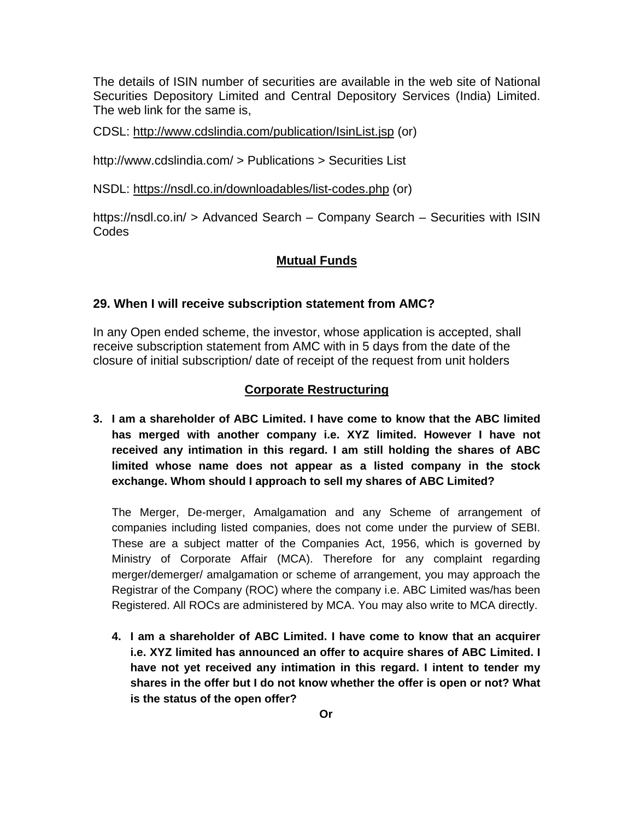The details of ISIN number of securities are available in the web site of National Securities Depository Limited and Central Depository Services (India) Limited. The web link for the same is,

CDSL: http://www.cdslindia.com/publication/IsinList.jsp (or)

http://www.cdslindia.com/ > Publications > Securities List

NSDL: https://nsdl.co.in/downloadables/list-codes.php (or)

https://nsdl.co.in/ > Advanced Search – Company Search – Securities with ISIN Codes

## **Mutual Funds**

#### **29. When I will receive subscription statement from AMC?**

In any Open ended scheme, the investor, whose application is accepted, shall receive subscription statement from AMC with in 5 days from the date of the closure of initial subscription/ date of receipt of the request from unit holders

#### **Corporate Restructuring**

**3. I am a shareholder of ABC Limited. I have come to know that the ABC limited has merged with another company i.e. XYZ limited. However I have not received any intimation in this regard. I am still holding the shares of ABC limited whose name does not appear as a listed company in the stock exchange. Whom should I approach to sell my shares of ABC Limited?** 

The Merger, De-merger, Amalgamation and any Scheme of arrangement of companies including listed companies, does not come under the purview of SEBI. These are a subject matter of the Companies Act, 1956, which is governed by Ministry of Corporate Affair (MCA). Therefore for any complaint regarding merger/demerger/ amalgamation or scheme of arrangement, you may approach the Registrar of the Company (ROC) where the company i.e. ABC Limited was/has been Registered. All ROCs are administered by MCA. You may also write to MCA directly.

**4. I am a shareholder of ABC Limited. I have come to know that an acquirer i.e. XYZ limited has announced an offer to acquire shares of ABC Limited. I have not yet received any intimation in this regard. I intent to tender my shares in the offer but I do not know whether the offer is open or not? What is the status of the open offer?**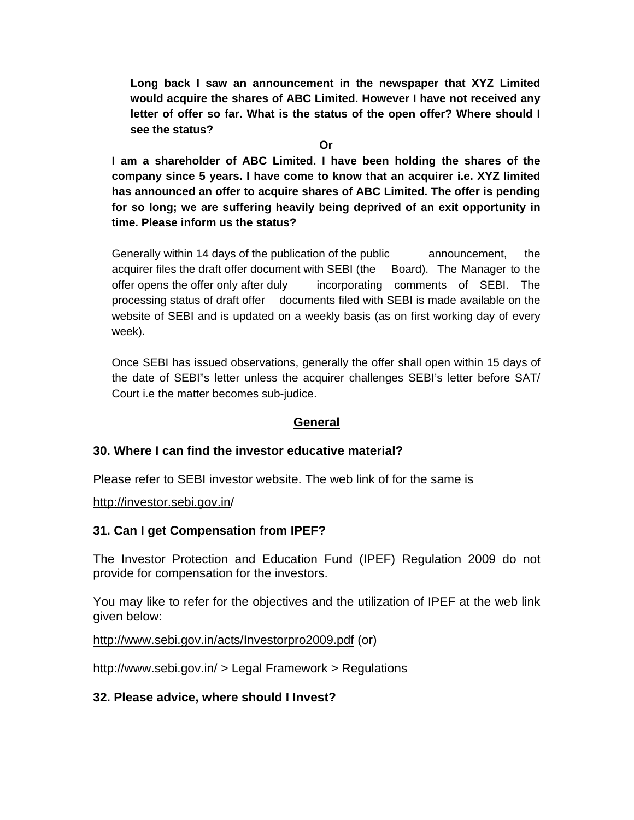**Long back I saw an announcement in the newspaper that XYZ Limited would acquire the shares of ABC Limited. However I have not received any letter of offer so far. What is the status of the open offer? Where should I see the status?**

**Or** 

**I am a shareholder of ABC Limited. I have been holding the shares of the company since 5 years. I have come to know that an acquirer i.e. XYZ limited has announced an offer to acquire shares of ABC Limited. The offer is pending for so long; we are suffering heavily being deprived of an exit opportunity in time. Please inform us the status?** 

Generally within 14 days of the publication of the public announcement, the acquirer files the draft offer document with SEBI (the Board). The Manager to the offer opens the offer only after duly incorporating comments of SEBI. The processing status of draft offer documents filed with SEBI is made available on the website of SEBI and is updated on a weekly basis (as on first working day of every week).

Once SEBI has issued observations, generally the offer shall open within 15 days of the date of SEBI"s letter unless the acquirer challenges SEBI's letter before SAT/ Court i.e the matter becomes sub-judice.

#### **General**

#### **30. Where I can find the investor educative material?**

Please refer to SEBI investor website. The web link of for the same is

http://investor.sebi.gov.in/

#### **31. Can I get Compensation from IPEF?**

The Investor Protection and Education Fund (IPEF) Regulation 2009 do not provide for compensation for the investors.

You may like to refer for the objectives and the utilization of IPEF at the web link given below:

http://www.sebi.gov.in/acts/Investorpro2009.pdf (or)

http://www.sebi.gov.in/ > Legal Framework > Regulations

#### **32. Please advice, where should I Invest?**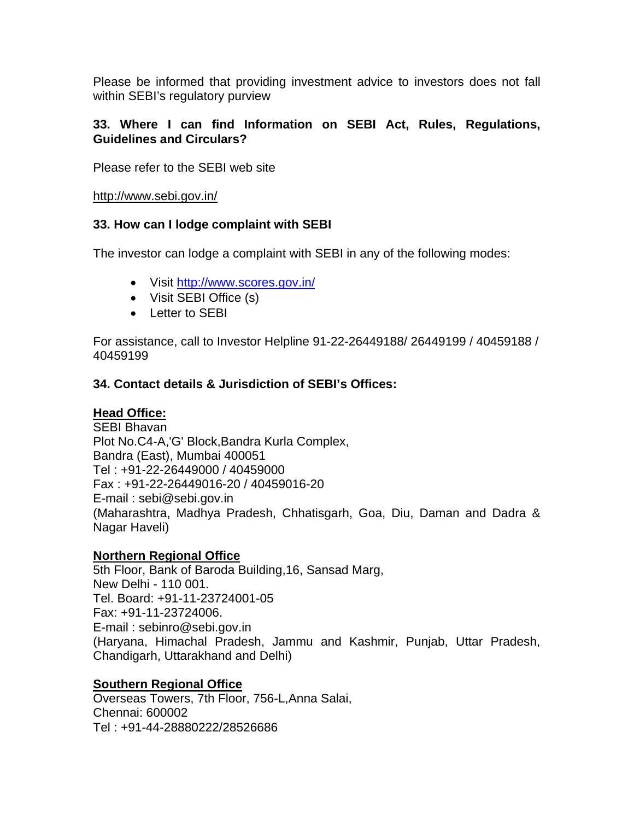Please be informed that providing investment advice to investors does not fall within SEBI's regulatory purview

### **33. Where I can find Information on SEBI Act, Rules, Regulations, Guidelines and Circulars?**

Please refer to the SEBI web site

#### http://www.sebi.gov.in/

### **33. How can I lodge complaint with SEBI**

The investor can lodge a complaint with SEBI in any of the following modes:

- Visit http://www.scores.gov.in/
- Visit SEBI Office (s)
- Letter to SEBI

For assistance, call to Investor Helpline 91-22-26449188/ 26449199 / 40459188 / 40459199

## **34. Contact details & Jurisdiction of SEBI's Offices:**

## **Head Office:**

SEBI Bhavan Plot No.C4-A,'G' Block,Bandra Kurla Complex, Bandra (East), Mumbai 400051 Tel : +91-22-26449000 / 40459000 Fax : +91-22-26449016-20 / 40459016-20 E-mail : sebi@sebi.gov.in (Maharashtra, Madhya Pradesh, Chhatisgarh, Goa, Diu, Daman and Dadra & Nagar Haveli)

#### **Northern Regional Office**

5th Floor, Bank of Baroda Building,16, Sansad Marg, New Delhi - 110 001. Tel. Board: +91-11-23724001-05 Fax: +91-11-23724006. E-mail : sebinro@sebi.gov.in (Haryana, Himachal Pradesh, Jammu and Kashmir, Punjab, Uttar Pradesh, Chandigarh, Uttarakhand and Delhi)

#### **Southern Regional Office**

Overseas Towers, 7th Floor, 756-L,Anna Salai, Chennai: 600002 Tel : +91-44-28880222/28526686